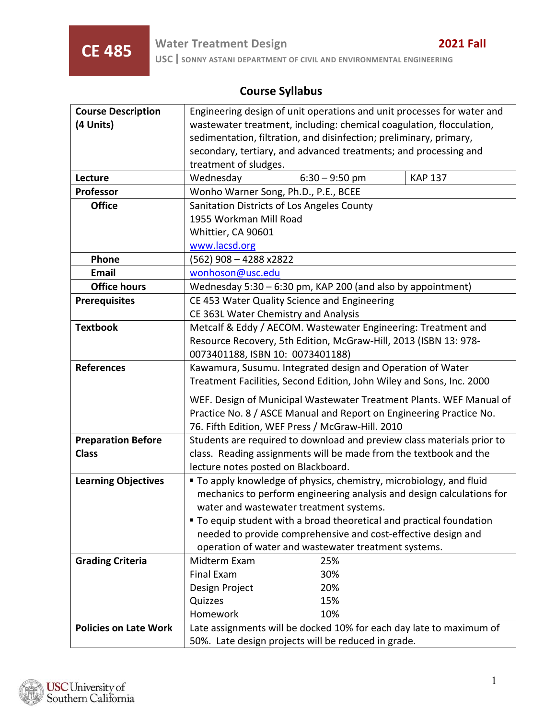# **Course Syllabus**

| <b>Course Description</b>    | Engineering design of unit operations and unit processes for water and |                                                               |                                                                       |  |
|------------------------------|------------------------------------------------------------------------|---------------------------------------------------------------|-----------------------------------------------------------------------|--|
| (4 Units)                    | wastewater treatment, including: chemical coagulation, flocculation,   |                                                               |                                                                       |  |
|                              | sedimentation, filtration, and disinfection; preliminary, primary,     |                                                               |                                                                       |  |
|                              | secondary, tertiary, and advanced treatments; and processing and       |                                                               |                                                                       |  |
|                              | treatment of sludges.                                                  |                                                               |                                                                       |  |
| Lecture                      | Wednesday                                                              | $6:30 - 9:50$ pm                                              | <b>KAP 137</b>                                                        |  |
| Professor                    | Wonho Warner Song, Ph.D., P.E., BCEE                                   |                                                               |                                                                       |  |
| <b>Office</b>                | Sanitation Districts of Los Angeles County                             |                                                               |                                                                       |  |
|                              | 1955 Workman Mill Road                                                 |                                                               |                                                                       |  |
|                              | Whittier, CA 90601                                                     |                                                               |                                                                       |  |
|                              | www.lacsd.org                                                          |                                                               |                                                                       |  |
| Phone                        | $(562)$ 908 - 4288 x2822                                               |                                                               |                                                                       |  |
| <b>Email</b>                 | wonhoson@usc.edu                                                       |                                                               |                                                                       |  |
| <b>Office hours</b>          | Wednesday 5:30 - 6:30 pm, KAP 200 (and also by appointment)            |                                                               |                                                                       |  |
| <b>Prerequisites</b>         | CE 453 Water Quality Science and Engineering                           |                                                               |                                                                       |  |
|                              | CE 363L Water Chemistry and Analysis                                   |                                                               |                                                                       |  |
| <b>Textbook</b>              | Metcalf & Eddy / AECOM. Wastewater Engineering: Treatment and          |                                                               |                                                                       |  |
|                              | Resource Recovery, 5th Edition, McGraw-Hill, 2013 (ISBN 13: 978-       |                                                               |                                                                       |  |
|                              | 0073401188, ISBN 10: 0073401188)                                       |                                                               |                                                                       |  |
| <b>References</b>            | Kawamura, Susumu. Integrated design and Operation of Water             |                                                               |                                                                       |  |
|                              | Treatment Facilities, Second Edition, John Wiley and Sons, Inc. 2000   |                                                               |                                                                       |  |
|                              | WEF. Design of Municipal Wastewater Treatment Plants. WEF Manual of    |                                                               |                                                                       |  |
|                              | Practice No. 8 / ASCE Manual and Report on Engineering Practice No.    |                                                               |                                                                       |  |
|                              | 76. Fifth Edition, WEF Press / McGraw-Hill. 2010                       |                                                               |                                                                       |  |
| <b>Preparation Before</b>    | Students are required to download and preview class materials prior to |                                                               |                                                                       |  |
| <b>Class</b>                 | class. Reading assignments will be made from the textbook and the      |                                                               |                                                                       |  |
|                              | lecture notes posted on Blackboard.                                    |                                                               |                                                                       |  |
| <b>Learning Objectives</b>   | " To apply knowledge of physics, chemistry, microbiology, and fluid    |                                                               |                                                                       |  |
|                              |                                                                        |                                                               | mechanics to perform engineering analysis and design calculations for |  |
|                              | water and wastewater treatment systems.                                |                                                               |                                                                       |  |
|                              | " To equip student with a broad theoretical and practical foundation   |                                                               |                                                                       |  |
|                              |                                                                        | needed to provide comprehensive and cost-effective design and |                                                                       |  |
|                              |                                                                        | operation of water and wastewater treatment systems.          |                                                                       |  |
| <b>Grading Criteria</b>      | Midterm Exam                                                           | 25%                                                           |                                                                       |  |
|                              | <b>Final Exam</b>                                                      | 30%                                                           |                                                                       |  |
|                              | Design Project                                                         | 20%                                                           |                                                                       |  |
|                              | Quizzes                                                                | 15%                                                           |                                                                       |  |
|                              | Homework                                                               | 10%                                                           |                                                                       |  |
| <b>Policies on Late Work</b> | Late assignments will be docked 10% for each day late to maximum of    |                                                               |                                                                       |  |
|                              | 50%. Late design projects will be reduced in grade.                    |                                                               |                                                                       |  |

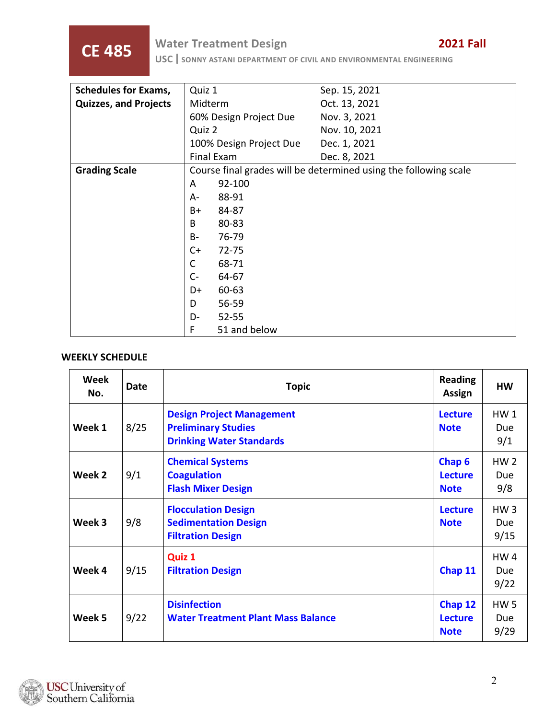**CE 485 Water Treatment Design <b>CE 485 USC** SONNY ASTANI DEPARTMENT OF CIVIL AND ENVIRONMENTAL ENGINEERING

| <b>Schedules for Exams,</b>  | Quiz 1                                                           | Sep. 15, 2021 |  |
|------------------------------|------------------------------------------------------------------|---------------|--|
| <b>Quizzes, and Projects</b> | Midterm                                                          | Oct. 13, 2021 |  |
|                              | 60% Design Project Due                                           | Nov. 3, 2021  |  |
|                              | Quiz 2                                                           | Nov. 10, 2021 |  |
|                              | 100% Design Project Due                                          | Dec. 1, 2021  |  |
|                              | Final Exam                                                       | Dec. 8, 2021  |  |
| <b>Grading Scale</b>         | Course final grades will be determined using the following scale |               |  |
|                              | 92-100<br>A                                                      |               |  |
|                              | 88-91<br>A-                                                      |               |  |
|                              | B+<br>84-87                                                      |               |  |
|                              | 80-83<br>B                                                       |               |  |
|                              | <b>B-</b><br>76-79                                               |               |  |
|                              | $C+$<br>72-75                                                    |               |  |
|                              | $\mathsf{C}$<br>68-71                                            |               |  |
|                              | $C -$<br>64-67                                                   |               |  |
|                              | 60-63<br>D+                                                      |               |  |
|                              | 56-59<br>D                                                       |               |  |
|                              | D-<br>52-55                                                      |               |  |
|                              | F<br>51 and below                                                |               |  |

#### **WEEKLY SCHEDULE**

| Week<br>No. | <b>Date</b> | <b>Topic</b>                                                                                      | <b>Reading</b><br>Assign                           | <b>HW</b>                             |
|-------------|-------------|---------------------------------------------------------------------------------------------------|----------------------------------------------------|---------------------------------------|
| Week 1      | 8/25        | <b>Design Project Management</b><br><b>Preliminary Studies</b><br><b>Drinking Water Standards</b> | <b>Lecture</b><br><b>Note</b>                      | HW <sub>1</sub><br>Due<br>9/1         |
| Week 2      | 9/1         | <b>Chemical Systems</b><br><b>Coagulation</b><br><b>Flash Mixer Design</b>                        | Chap <sub>6</sub><br><b>Lecture</b><br><b>Note</b> | HW <sub>2</sub><br><b>Due</b><br>9/8  |
| Week 3      | 9/8         | <b>Flocculation Design</b><br><b>Sedimentation Design</b><br><b>Filtration Design</b>             | <b>Lecture</b><br><b>Note</b>                      | HW <sub>3</sub><br>Due<br>9/15        |
| Week 4      | 9/15        | Quiz 1<br><b>Filtration Design</b>                                                                | Chap 11                                            | HW <sub>4</sub><br><b>Due</b><br>9/22 |
| Week 5      | 9/22        | <b>Disinfection</b><br><b>Water Treatment Plant Mass Balance</b>                                  | Chap 12<br><b>Lecture</b><br><b>Note</b>           | <b>HW5</b><br>Due<br>9/29             |

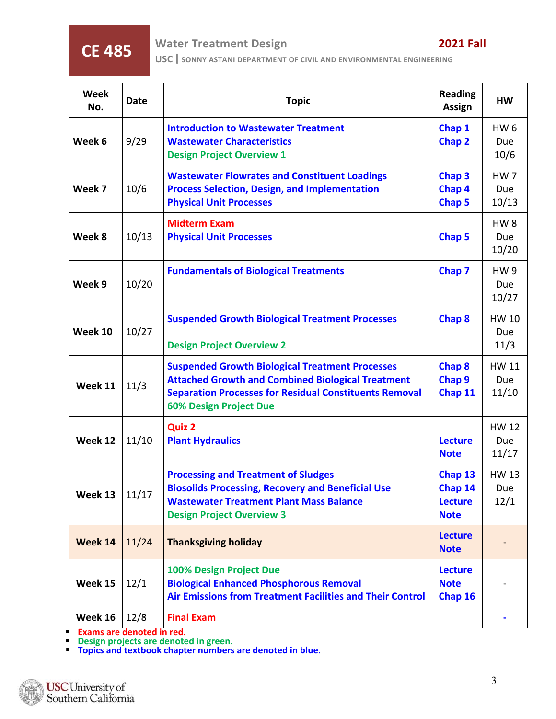**CE 485 Water Treatment Design <b>CE 485 USC** SONNY ASTANI DEPARTMENT OF CIVIL AND ENVIRONMENTAL ENGINEERING

| <b>Week</b><br>No. | <b>Date</b> | <b>Topic</b>                                                                                                                                                                                                         | <b>Reading</b><br><b>Assign</b>                     | <b>HW</b>                              |
|--------------------|-------------|----------------------------------------------------------------------------------------------------------------------------------------------------------------------------------------------------------------------|-----------------------------------------------------|----------------------------------------|
| Week 6             | 9/29        | <b>Introduction to Wastewater Treatment</b><br><b>Wastewater Characteristics</b><br><b>Design Project Overview 1</b>                                                                                                 | Chap 1<br>Chap 2                                    | HW <sub>6</sub><br><b>Due</b><br>10/6  |
| Week 7             | 10/6        | <b>Wastewater Flowrates and Constituent Loadings</b><br><b>Process Selection, Design, and Implementation</b><br><b>Physical Unit Processes</b>                                                                       | Chap <sub>3</sub><br>Chap 4<br>Chap 5               | <b>HW7</b><br><b>Due</b><br>10/13      |
| Week 8             | 10/13       | <b>Midterm Exam</b><br><b>Physical Unit Processes</b>                                                                                                                                                                | Chap 5                                              | HW <sub>8</sub><br><b>Due</b><br>10/20 |
| Week 9             | 10/20       | <b>Fundamentals of Biological Treatments</b>                                                                                                                                                                         | Chap 7                                              | <b>HW9</b><br>Due<br>10/27             |
| Week 10            | 10/27       | <b>Suspended Growth Biological Treatment Processes</b><br><b>Design Project Overview 2</b>                                                                                                                           | Chap 8                                              | HW 10<br>Due<br>11/3                   |
| Week 11            | 11/3        | <b>Suspended Growth Biological Treatment Processes</b><br><b>Attached Growth and Combined Biological Treatment</b><br><b>Separation Processes for Residual Constituents Removal</b><br><b>60% Design Project Due</b> | Chap 8<br>Chap <sub>9</sub><br>Chap 11              | HW 11<br><b>Due</b><br>11/10           |
| Week 12            | 11/10       | <b>Quiz 2</b><br><b>Plant Hydraulics</b>                                                                                                                                                                             | <b>Lecture</b><br><b>Note</b>                       | <b>HW 12</b><br>Due<br>11/17           |
| Week 13            | 11/17       | <b>Processing and Treatment of Sludges</b><br><b>Biosolids Processing, Recovery and Beneficial Use</b><br><b>Wastewater Treatment Plant Mass Balance</b><br><b>Design Project Overview 3</b>                         | Chap 13<br>Chap 14<br><b>Lecture</b><br><b>Note</b> | <b>HW 13</b><br>Due<br>12/1            |
| Week 14            | 11/24       | <b>Thanksgiving holiday</b>                                                                                                                                                                                          | <b>Lecture</b><br><b>Note</b>                       |                                        |
| Week 15            | 12/1        | <b>100% Design Project Due</b><br><b>Biological Enhanced Phosphorous Removal</b><br><b>Air Emissions from Treatment Facilities and Their Control</b>                                                                 | <b>Lecture</b><br><b>Note</b><br>Chap 16            |                                        |
| Week 16            | 12/8        | <b>Final Exam</b>                                                                                                                                                                                                    |                                                     |                                        |

**Exams are denoted in red.**<br> **Pesign projects are denoted in green.**<br> **Pesign projects are denoted in blue.**<br> **Period in blue.** 

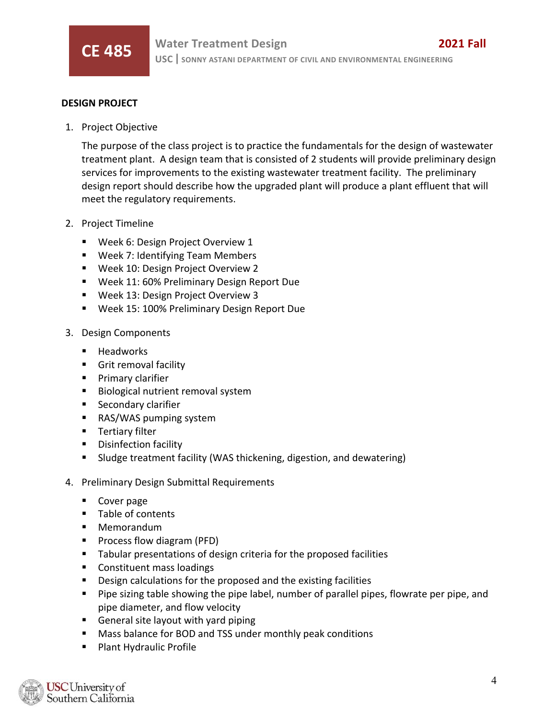

#### **DESIGN PROJECT**

1. Project Objective

The purpose of the class project is to practice the fundamentals for the design of wastewater treatment plant. A design team that is consisted of 2 students will provide preliminary design services for improvements to the existing wastewater treatment facility. The preliminary design report should describe how the upgraded plant will produce a plant effluent that will meet the regulatory requirements.

- 2. Project Timeline
	- **Week 6: Design Project Overview 1**
	- Week 7: Identifying Team Members
	- **Week 10: Design Project Overview 2**
	- **Week 11: 60% Preliminary Design Report Due**
	- Week 13: Design Project Overview 3
	- Week 15: 100% Preliminary Design Report Due
- 3. Design Components
	- Headworks
	- **Grit removal facility**
	- **Primary clarifier**
	- **Biological nutrient removal system**
	- **Secondary clarifier**
	- RAS/WAS pumping system
	- **Tertiary filter**
	- **Disinfection facility**
	- Sludge treatment facility (WAS thickening, digestion, and dewatering)
- 4. Preliminary Design Submittal Requirements
	- Cover page
	- **Table of contents**
	- **Memorandum**
	- **Process flow diagram (PFD)**
	- **Tabular presentations of design criteria for the proposed facilities**
	- **Constituent mass loadings**
	- Design calculations for the proposed and the existing facilities
	- **Pipe sizing table showing the pipe label, number of parallel pipes, flowrate per pipe, and** pipe diameter, and flow velocity
	- **General site layout with yard piping**
	- **Mass balance for BOD and TSS under monthly peak conditions**
	- Plant Hydraulic Profile

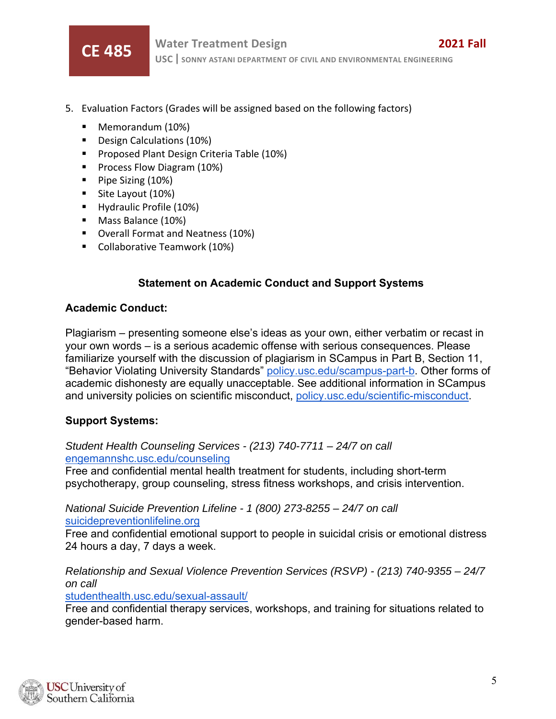

- 5. Evaluation Factors (Grades will be assigned based on the following factors)
	- Memorandum (10%)
	- Design Calculations (10%)
	- **Proposed Plant Design Criteria Table (10%)**
	- **Process Flow Diagram (10%)**
	- $\blacksquare$  Pipe Sizing (10%)
	- Site Layout (10%)
	- **Hydraulic Profile (10%)**
	- **Mass Balance (10%)**
	- **•** Overall Format and Neatness (10%)
	- **Collaborative Teamwork (10%)**

### **Statement on Academic Conduct and Support Systems**

#### **Academic Conduct:**

Plagiarism – presenting someone else's ideas as your own, either verbatim or recast in your own words – is a serious academic offense with serious consequences. Please familiarize yourself with the discussion of plagiarism in SCampus in Part B, Section 11, "Behavior Violating University Standards" policy.usc.edu/scampus-part-b. Other forms of academic dishonesty are equally unacceptable. See additional information in SCampus and university policies on scientific misconduct, policy.usc.edu/scientific-misconduct.

### **Support Systems:**

#### *Student Health Counseling Services - (213) 740-7711 – 24/7 on call*  engemannshc.usc.edu/counseling

Free and confidential mental health treatment for students, including short-term psychotherapy, group counseling, stress fitness workshops, and crisis intervention.

*National Suicide Prevention Lifeline - 1 (800) 273-8255 – 24/7 on call*  suicidepreventionlifeline.org

Free and confidential emotional support to people in suicidal crisis or emotional distress 24 hours a day, 7 days a week.

*Relationship and Sexual Violence Prevention Services (RSVP) - (213) 740-9355 – 24/7 on call* 

studenthealth.usc.edu/sexual-assault/

Free and confidential therapy services, workshops, and training for situations related to gender-based harm.